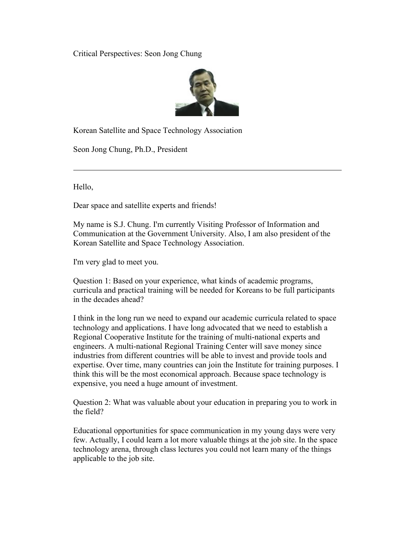Critical Perspectives: Seon Jong Chung



Korean Satellite and Space Technology Association

Seon Jong Chung, Ph.D., President

Hello,

Dear space and satellite experts and friends!

My name is S.J. Chung. I'm currently Visiting Professor of Information and Communication at the Government University. Also, I am also president of the Korean Satellite and Space Technology Association.

I'm very glad to meet you.

Question 1: Based on your experience, what kinds of academic programs, curricula and practical training will be needed for Koreans to be full participants in the decades ahead?

I think in the long run we need to expand our academic curricula related to space technology and applications. I have long advocated that we need to establish a Regional Cooperative Institute for the training of multi-national experts and engineers. A multi-national Regional Training Center will save money since industries from different countries will be able to invest and provide tools and expertise. Over time, many countries can join the Institute for training purposes. I think this will be the most economical approach. Because space technology is expensive, you need a huge amount of investment.

Question 2: What was valuable about your education in preparing you to work in the field?

Educational opportunities for space communication in my young days were very few. Actually, I could learn a lot more valuable things at the job site. In the space technology arena, through class lectures you could not learn many of the things applicable to the job site.